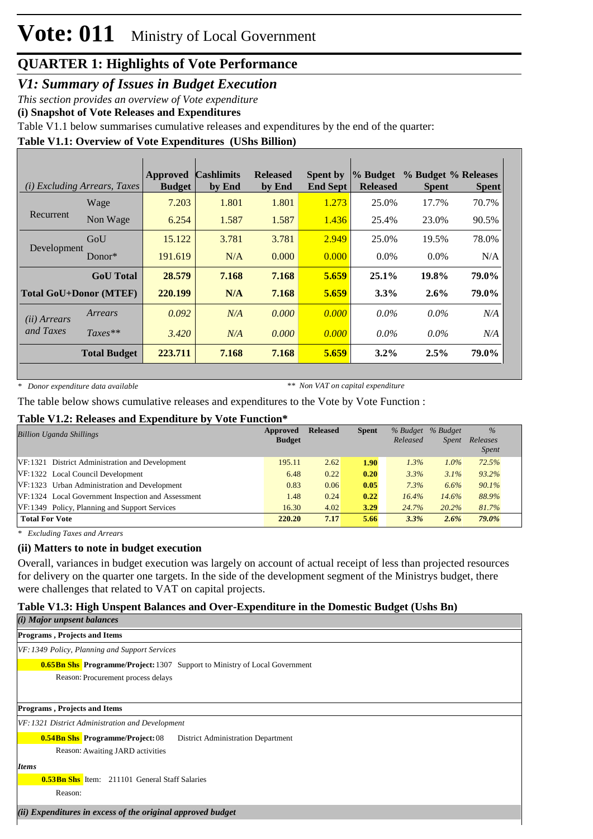*V1: Summary of Issues in Budget Execution*

*This section provides an overview of Vote expenditure* 

**(i) Snapshot of Vote Releases and Expenditures**

Table V1.1 below summarises cumulative releases and expenditures by the end of the quarter:

## **Table V1.1: Overview of Vote Expenditures (UShs Billion)**

|                       | ( <i>i</i> ) Excluding Arrears, Taxes | Approved<br><b>Budget</b> | <b>Cashlimits</b><br>by End | <b>Released</b><br>by End | <b>Spent by</b><br><b>End Sept</b> | $\%$ Budget<br><b>Released</b> | % Budget % Releases<br><b>Spent</b> | <b>Spent</b> |
|-----------------------|---------------------------------------|---------------------------|-----------------------------|---------------------------|------------------------------------|--------------------------------|-------------------------------------|--------------|
|                       | Wage                                  | 7.203                     | 1.801                       | 1.801                     | 1.273                              | 25.0%                          | 17.7%                               | 70.7%        |
| Recurrent             | Non Wage                              | 6.254                     | 1.587                       | 1.587                     | 1.436                              | 25.4%                          | 23.0%                               | 90.5%        |
|                       | GoU                                   | 15.122                    | 3.781                       | 3.781                     | 2.949                              | 25.0%                          | 19.5%                               | 78.0%        |
| Development           | $Donor*$                              | 191.619                   | N/A                         | 0.000                     | 0.000                              | $0.0\%$                        | $0.0\%$                             | N/A          |
|                       | <b>GoU</b> Total                      | 28.579                    | 7.168                       | 7.168                     | 5.659                              | $25.1\%$                       | 19.8%                               | 79.0%        |
|                       | <b>Total GoU+Donor (MTEF)</b>         | 220.199                   | N/A                         | 7.168                     | 5.659                              | $3.3\%$                        | 2.6%                                | 79.0%        |
| ( <i>ii</i> ) Arrears | Arrears                               | 0.092                     | N/A                         | 0.000                     | 0.000                              | $0.0\%$                        | $0.0\%$                             | N/A          |
| and Taxes             | $Taxes**$                             | 3.420                     | N/A                         | 0.000                     | 0.000                              | $0.0\%$                        | $0.0\%$                             | N/A          |
|                       | <b>Total Budget</b>                   | 223.711                   | 7.168                       | 7.168                     | 5.659                              | $3.2\%$                        | 2.5%                                | 79.0%        |

*\* Donor expenditure data available*

*\*\* Non VAT on capital expenditure*

The table below shows cumulative releases and expenditures to the Vote by Vote Function :

#### **Table V1.2: Releases and Expenditure by Vote Function\***

| <b>Billion Uganda Shillings</b>                    | Approved<br><b>Budget</b> | <b>Released</b> | <b>Spent</b> | % Budget % Budget<br>Released | <i>Spent</i> | $\frac{0}{0}$<br>Releases<br><i>Spent</i> |
|----------------------------------------------------|---------------------------|-----------------|--------------|-------------------------------|--------------|-------------------------------------------|
| VF:1321 District Administration and Development    | 195.11                    | 2.62            | 1.90         | 1.3%                          | $1.0\%$      | 72.5%                                     |
| VF:1322 Local Council Development                  | 6.48                      | 0.22            | 0.20         | 3.3%                          | 3.1%         | 93.2%                                     |
| VF:1323 Urban Administration and Development       | 0.83                      | 0.06            | 0.05         | 7.3%                          | 6.6%         | 90.1%                                     |
| VF:1324 Local Government Inspection and Assessment | 1.48                      | 0.24            | 0.22         | 16.4%                         | 14.6%        | 88.9%                                     |
| VF:1349 Policy, Planning and Support Services      | 16.30                     | 4.02            | 3.29         | 24.7%                         | 20.2%        | 81.7%                                     |
| <b>Total For Vote</b>                              | 220.20                    | 7.17            | 5.66         | 3.3%                          | $2.6\%$      | 79.0%                                     |

*\* Excluding Taxes and Arrears*

### **(ii) Matters to note in budget execution**

Overall, variances in budget execution was largely on account of actual receipt of less than projected resources for delivery on the quarter one targets. In the side of the development segment of the Ministrys budget, there were challenges that related to VAT on capital projects.

### **Table V1.3: High Unspent Balances and Over-Expenditure in the Domestic Budget (Ushs Bn)**

| ( <i>i</i> ) Major unpsent balances                                                |
|------------------------------------------------------------------------------------|
| <b>Programs, Projects and Items</b>                                                |
| VF: 1349 Policy, Planning and Support Services                                     |
| <b>0.65Bn Shs. Programme/Project:</b> 1307 Support to Ministry of Local Government |
| Reason: Procurement process delays                                                 |
|                                                                                    |
| <b>Programs, Projects and Items</b>                                                |
| VF: 1321 District Administration and Development                                   |
| <b>0.54Bn Shs</b> Programme/Project: 08<br>District Administration Department      |
| Reason: Awaiting JARD activities                                                   |
| <b>Items</b>                                                                       |
| <b>0.53Bn Shs</b> Item: 211101 General Staff Salaries                              |
| Reason:                                                                            |
| (ii) Expenditures in excess of the original approved budget                        |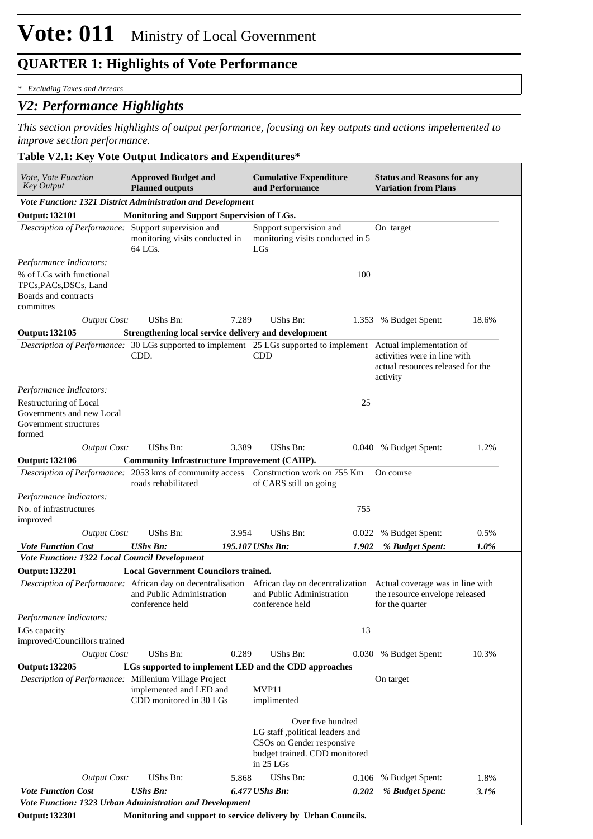#### *\* Excluding Taxes and Arrears*

## *V2: Performance Highlights*

*This section provides highlights of output performance, focusing on key outputs and actions impelemented to improve section performance.*

#### **Table V2.1: Key Vote Output Indicators and Expenditures\***

| <b>Key Output</b>                                                                                                            | <b>Planned outputs</b>                                        |       | and Performance                                                                                                                 |       | <b>Variation from Plans</b>                                                   |         |
|------------------------------------------------------------------------------------------------------------------------------|---------------------------------------------------------------|-------|---------------------------------------------------------------------------------------------------------------------------------|-------|-------------------------------------------------------------------------------|---------|
| Vote Function: 1321 District Administration and Development                                                                  |                                                               |       |                                                                                                                                 |       |                                                                               |         |
| <b>Output: 132101</b>                                                                                                        | Monitoring and Support Supervision of LGs.                    |       |                                                                                                                                 |       |                                                                               |         |
| Description of Performance: Support supervision and                                                                          | monitoring visits conducted in<br>64 LGs.                     |       | Support supervision and<br>monitoring visits conducted in 5<br>LGs                                                              |       | On target                                                                     |         |
| Performance Indicators:                                                                                                      |                                                               |       |                                                                                                                                 |       |                                                                               |         |
| % of LGs with functional                                                                                                     |                                                               |       |                                                                                                                                 | 100   |                                                                               |         |
| TPCs, PACs, DSCs, Land                                                                                                       |                                                               |       |                                                                                                                                 |       |                                                                               |         |
| Boards and contracts                                                                                                         |                                                               |       |                                                                                                                                 |       |                                                                               |         |
| committes                                                                                                                    |                                                               |       |                                                                                                                                 |       |                                                                               |         |
| <b>Output Cost:</b>                                                                                                          | UShs Bn:                                                      | 7.289 | <b>UShs Bn:</b>                                                                                                                 |       | 1.353 % Budget Spent:                                                         | 18.6%   |
| <b>Output: 132105</b>                                                                                                        | Strengthening local service delivery and development          |       |                                                                                                                                 |       |                                                                               |         |
| Description of Performance: 30 LGs supported to implement 25 LGs supported to implement Actual implementation of             | CDD.                                                          |       | <b>CDD</b>                                                                                                                      |       | activities were in line with<br>actual resources released for the<br>activity |         |
| Performance Indicators:                                                                                                      |                                                               |       |                                                                                                                                 |       |                                                                               |         |
| Restructuring of Local                                                                                                       |                                                               |       |                                                                                                                                 | 25    |                                                                               |         |
| Governments and new Local<br>Government structures<br>formed                                                                 |                                                               |       |                                                                                                                                 |       |                                                                               |         |
| <b>Output Cost:</b>                                                                                                          | UShs Bn:                                                      | 3.389 | UShs Bn:                                                                                                                        |       | 0.040 % Budget Spent:                                                         | 1.2%    |
| <b>Output: 132106</b>                                                                                                        | <b>Community Infrastructure Improvement (CAIIP).</b>          |       |                                                                                                                                 |       |                                                                               |         |
| Description of Performance: 2053 kms of community access  Construction work on 755 Km                                        | roads rehabilitated                                           |       | of CARS still on going                                                                                                          |       | On course                                                                     |         |
| Performance Indicators:                                                                                                      |                                                               |       |                                                                                                                                 |       |                                                                               |         |
| No. of infrastructures<br>improved                                                                                           |                                                               |       |                                                                                                                                 | 755   |                                                                               |         |
| <b>Output Cost:</b>                                                                                                          | UShs Bn:                                                      | 3.954 | UShs Bn:                                                                                                                        | 0.022 | % Budget Spent:                                                               | 0.5%    |
| <b>Vote Function Cost</b>                                                                                                    | <b>UShs Bn:</b>                                               |       | 195.107 UShs Bn:                                                                                                                | 1.902 | % Budget Spent:                                                               | $1.0\%$ |
| Vote Function: 1322 Local Council Development                                                                                |                                                               |       |                                                                                                                                 |       |                                                                               |         |
| <b>Output: 132201</b>                                                                                                        | <b>Local Government Councilors trained.</b>                   |       |                                                                                                                                 |       |                                                                               |         |
| Description of Performance: African day on decentralisation African day on decentralization Actual coverage was in line with | and Public Administration<br>conference held                  |       | and Public Administration<br>conference held                                                                                    |       | the resource envelope released<br>for the quarter                             |         |
| Performance Indicators:<br>LGs capacity<br>improved/Councillors trained                                                      |                                                               |       |                                                                                                                                 | 13    |                                                                               |         |
| Output Cost:                                                                                                                 | UShs Bn:                                                      | 0.289 | UShs Bn:                                                                                                                        |       | 0.030 % Budget Spent:                                                         | 10.3%   |
| <b>Output: 132205</b>                                                                                                        | LGs supported to implement LED and the CDD approaches         |       |                                                                                                                                 |       |                                                                               |         |
| Description of Performance: Millenium Village Project                                                                        | implemented and LED and<br>CDD monitored in 30 LGs            |       | MVP11<br>implimented                                                                                                            |       | On target                                                                     |         |
|                                                                                                                              |                                                               |       | Over five hundred<br>LG staff ,political leaders and<br>CSOs on Gender responsive<br>budget trained. CDD monitored<br>in 25 LGs |       |                                                                               |         |
| <b>Output Cost:</b>                                                                                                          | UShs Bn:                                                      | 5.868 | <b>UShs Bn:</b>                                                                                                                 | 0.106 | % Budget Spent:                                                               | 1.8%    |
| <b>Vote Function Cost</b>                                                                                                    | <b>UShs Bn:</b>                                               |       | 6.477 UShs Bn:                                                                                                                  | 0.202 | % Budget Spent:                                                               | 3.1%    |
| Vote Function: 1323 Urban Administration and Development                                                                     |                                                               |       |                                                                                                                                 |       |                                                                               |         |
| <b>Output: 132301</b>                                                                                                        | Monitoring and support to service delivery by Urban Councils. |       |                                                                                                                                 |       |                                                                               |         |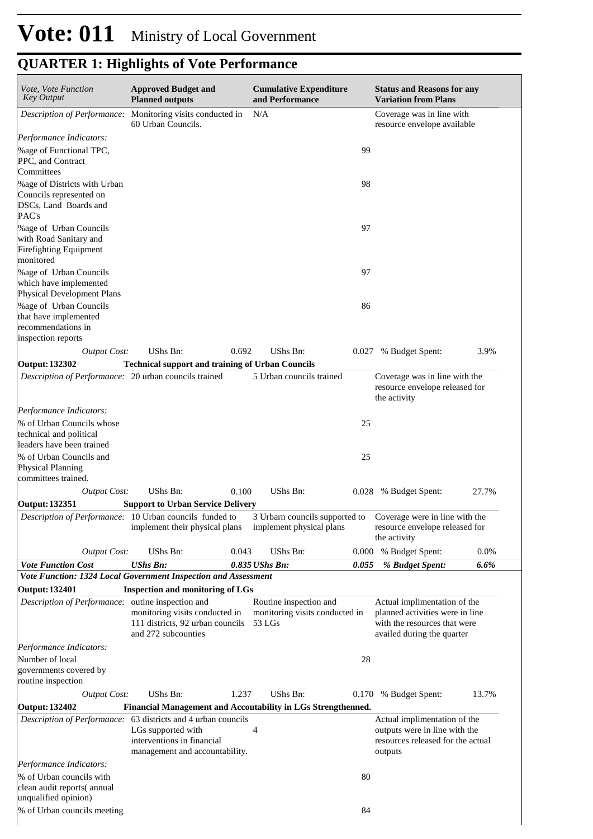| <b>QUARTER 1: Highlights of Vote Performance</b> |  |  |  |
|--------------------------------------------------|--|--|--|
|--------------------------------------------------|--|--|--|

| Vote, Vote Function<br><b>Approved Budget and</b><br><b>Key Output</b><br><b>Planned outputs</b>             |                                                                                           |       | <b>Cumulative Expenditure</b><br>and Performance                                          |       | <b>Status and Reasons for any</b><br><b>Variation from Plans</b>                                                              |         |  |
|--------------------------------------------------------------------------------------------------------------|-------------------------------------------------------------------------------------------|-------|-------------------------------------------------------------------------------------------|-------|-------------------------------------------------------------------------------------------------------------------------------|---------|--|
| Description of Performance: Monitoring visits conducted in                                                   | 60 Urban Councils.                                                                        |       | N/A                                                                                       |       | Coverage was in line with<br>resource envelope available                                                                      |         |  |
| Performance Indicators:                                                                                      |                                                                                           |       |                                                                                           |       |                                                                                                                               |         |  |
| % age of Functional TPC,<br>PPC, and Contract                                                                |                                                                                           |       |                                                                                           | 99    |                                                                                                                               |         |  |
| Committees<br>%age of Districts with Urban<br>Councils represented on<br>DSCs, Land Boards and<br>PAC's      |                                                                                           |       |                                                                                           | 98    |                                                                                                                               |         |  |
| <b>% age of Urban Councils</b><br>with Road Sanitary and<br>Firefighting Equipment<br>monitored              |                                                                                           |       |                                                                                           | 97    |                                                                                                                               |         |  |
| %age of Urban Councils<br>which have implemented<br>Physical Development Plans                               |                                                                                           |       |                                                                                           | 97    |                                                                                                                               |         |  |
| %age of Urban Councils<br>that have implemented<br>recommendations in<br>inspection reports                  |                                                                                           |       |                                                                                           | 86    |                                                                                                                               |         |  |
| <b>Output Cost:</b>                                                                                          | UShs Bn:                                                                                  | 0.692 | UShs Bn:                                                                                  | 0.027 | % Budget Spent:                                                                                                               | 3.9%    |  |
| Output: 132302<br>Description of Performance: 20 urban councils trained                                      | <b>Technical support and training of Urban Councils</b>                                   |       | 5 Urban councils trained                                                                  |       | Coverage was in line with the<br>resource envelope released for                                                               |         |  |
|                                                                                                              |                                                                                           |       |                                                                                           |       | the activity                                                                                                                  |         |  |
| Performance Indicators:<br>% of Urban Councils whose<br>technical and political<br>leaders have been trained |                                                                                           |       |                                                                                           | 25    |                                                                                                                               |         |  |
| % of Urban Councils and<br><b>Physical Planning</b><br>committees trained.                                   |                                                                                           |       |                                                                                           | 25    |                                                                                                                               |         |  |
| <b>Output Cost:</b>                                                                                          | UShs Bn:                                                                                  | 0.100 | <b>UShs Bn:</b>                                                                           | 0.028 | % Budget Spent:                                                                                                               | 27.7%   |  |
| <b>Output: 132351</b>                                                                                        | <b>Support to Urban Service Delivery</b>                                                  |       |                                                                                           |       |                                                                                                                               |         |  |
| Description of Performance: 10 Urban councils funded to                                                      | implement their physical plans                                                            |       | 3 Urbarn councils supported to Coverage were in line with the<br>implement physical plans |       | resource envelope released for<br>the activity                                                                                |         |  |
| <b>Output Cost:</b>                                                                                          | UShs Bn:                                                                                  | 0.043 | UShs Bn:                                                                                  | 0.000 | % Budget Spent:                                                                                                               | 0.0%    |  |
| <b>Vote Function Cost</b>                                                                                    | <b>UShs Bn:</b>                                                                           |       | $0.835$ UShs Bn:                                                                          | 0.055 | % Budget Spent:                                                                                                               | $6.6\%$ |  |
| Vote Function: 1324 Local Government Inspection and Assessment                                               |                                                                                           |       |                                                                                           |       |                                                                                                                               |         |  |
| <b>Output: 132401</b>                                                                                        | <b>Inspection and monitoring of LGs</b>                                                   |       |                                                                                           |       |                                                                                                                               |         |  |
| Description of Performance: outine inspection and                                                            | monitoring visits conducted in<br>111 districts, 92 urban councils<br>and 272 subcounties |       | Routine inspection and<br>monitoring visits conducted in<br>$53$ LGs                      |       | Actual implimentation of the<br>planned activities were in line<br>with the resources that were<br>availed during the quarter |         |  |
| Performance Indicators:                                                                                      |                                                                                           |       |                                                                                           |       |                                                                                                                               |         |  |
| Number of local<br>governments covered by<br>routine inspection                                              |                                                                                           |       |                                                                                           | 28    |                                                                                                                               |         |  |
| <b>Output Cost:</b>                                                                                          | UShs Bn:                                                                                  | 1.237 | UShs Bn:                                                                                  | 0.170 | % Budget Spent:                                                                                                               | 13.7%   |  |
| Output: 132402                                                                                               | Financial Management and Accoutability in LGs Strengthenned.                              |       |                                                                                           |       |                                                                                                                               |         |  |
| Description of Performance: 63 districts and 4 urban councils                                                | LGs supported with<br>interventions in financial<br>management and accountability.        |       | 4                                                                                         |       | Actual implimentation of the<br>outputs were in line with the<br>resources released for the actual<br>outputs                 |         |  |
| Performance Indicators:                                                                                      |                                                                                           |       |                                                                                           |       |                                                                                                                               |         |  |
| % of Urban councils with<br>clean audit reports(annual                                                       |                                                                                           |       |                                                                                           | 80    |                                                                                                                               |         |  |
| unqualified opinion)<br>% of Urban councils meeting                                                          |                                                                                           |       |                                                                                           | 84    |                                                                                                                               |         |  |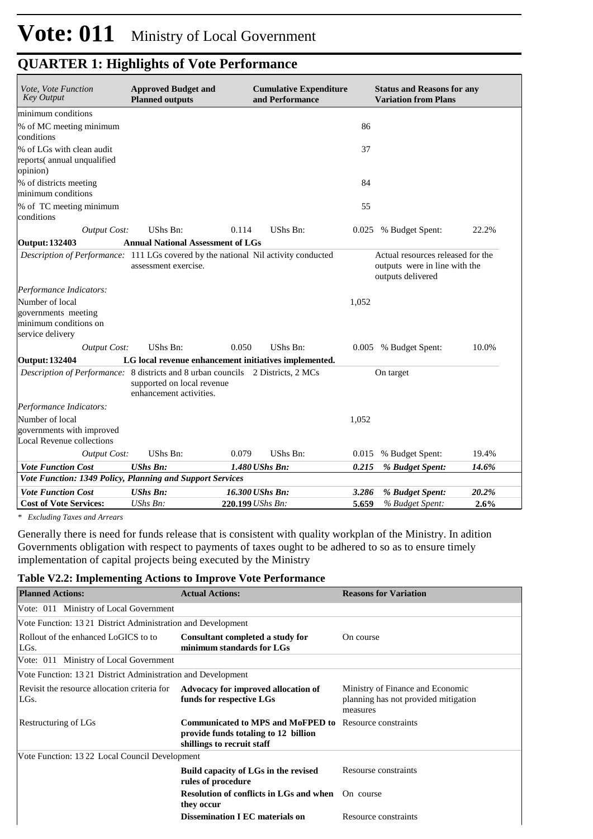| Vote, Vote Function<br><b>Key Output</b>                                               | <b>Approved Budget and</b><br><b>Planned outputs</b>  | <b>Cumulative Expenditure</b><br>and Performance                                   | <b>Status and Reasons for any</b><br><b>Variation from Plans</b>                        |       |
|----------------------------------------------------------------------------------------|-------------------------------------------------------|------------------------------------------------------------------------------------|-----------------------------------------------------------------------------------------|-------|
| minimum conditions                                                                     |                                                       |                                                                                    |                                                                                         |       |
| % of MC meeting minimum                                                                |                                                       |                                                                                    | 86                                                                                      |       |
| conditions                                                                             |                                                       |                                                                                    |                                                                                         |       |
| % of LGs with clean audit                                                              |                                                       |                                                                                    | 37                                                                                      |       |
| reports(annual unqualified<br>opinion)                                                 |                                                       |                                                                                    |                                                                                         |       |
| % of districts meeting<br>minimum conditions                                           |                                                       |                                                                                    | 84                                                                                      |       |
| % of TC meeting minimum<br>conditions                                                  |                                                       |                                                                                    | 55                                                                                      |       |
| <b>Output Cost:</b>                                                                    | UShs Bn:                                              | 0.114<br>UShs Bn:                                                                  | 0.025 % Budget Spent:                                                                   | 22.2% |
| Output: 132403                                                                         | <b>Annual National Assessment of LGs</b>              |                                                                                    |                                                                                         |       |
|                                                                                        | assessment exercise.                                  | Description of Performance: 111 LGs covered by the national Nil activity conducted | Actual resources released for the<br>outputs were in line with the<br>outputs delivered |       |
| Performance Indicators:                                                                |                                                       |                                                                                    |                                                                                         |       |
| Number of local<br>governments meeting<br>minimum conditions on<br>service delivery    |                                                       |                                                                                    | 1,052                                                                                   |       |
| <b>Output Cost:</b>                                                                    | UShs Bn:                                              | 0.050<br><b>UShs Bn:</b>                                                           | 0.005 % Budget Spent:                                                                   | 10.0% |
| <b>Output: 132404</b>                                                                  |                                                       | LG local revenue enhancement initiatives implemented.                              |                                                                                         |       |
| <i>Description of Performance:</i> 8 districts and 8 urban councils 2 Districts, 2 MCs | supported on local revenue<br>enhancement activities. |                                                                                    | On target                                                                               |       |
| Performance Indicators:                                                                |                                                       |                                                                                    |                                                                                         |       |
| Number of local                                                                        |                                                       |                                                                                    | 1,052                                                                                   |       |
| governments with improved                                                              |                                                       |                                                                                    |                                                                                         |       |
| <b>Local Revenue collections</b>                                                       |                                                       |                                                                                    |                                                                                         |       |
| <b>Output Cost:</b>                                                                    | UShs Bn:                                              | <b>UShs Bn:</b><br>0.079                                                           | 0.015<br>% Budget Spent:                                                                | 19.4% |
| <b>Vote Function Cost</b>                                                              | <b>UShs Bn:</b>                                       | $1.480$ UShs Bn:                                                                   | 0.215<br>% Budget Spent:                                                                | 14.6% |
| Vote Function: 1349 Policy, Planning and Support Services                              |                                                       |                                                                                    |                                                                                         |       |
| <b>Vote Function Cost</b>                                                              | <b>UShs Bn:</b>                                       | 16.300 UShs Bn:                                                                    | % Budget Spent:<br>3.286                                                                | 20.2% |
| <b>Cost of Vote Services:</b>                                                          | UShs Bn:                                              | 220.199 UShs Bn:                                                                   | 5.659<br>% Budget Spent:                                                                | 2.6%  |

*\* Excluding Taxes and Arrears*

Generally there is need for funds release that is consistent with quality workplan of the Ministry. In adition Governments obligation with respect to payments of taxes ought to be adhered to so as to ensure timely implementation of capital projects being executed by the Ministry

#### **Table V2.2: Implementing Actions to Improve Vote Performance**

| <b>Planned Actions:</b>                                     | <b>Actual Actions:</b>                                                                                                              | <b>Reasons for Variation</b>                                                         |
|-------------------------------------------------------------|-------------------------------------------------------------------------------------------------------------------------------------|--------------------------------------------------------------------------------------|
| Vote: 011 Ministry of Local Government                      |                                                                                                                                     |                                                                                      |
| Vote Function: 1321 District Administration and Development |                                                                                                                                     |                                                                                      |
| Rollout of the enhanced LoGICS to to<br>LGs.                | Consultant completed a study for<br>minimum standards for LGs                                                                       | On course                                                                            |
| Vote: 011 Ministry of Local Government                      |                                                                                                                                     |                                                                                      |
| Vote Function: 1321 District Administration and Development |                                                                                                                                     |                                                                                      |
| Revisit the resource allocation criteria for<br>LGs.        | Advocacy for improved allocation of<br>funds for respective LGs                                                                     | Ministry of Finance and Economic<br>planning has not provided mitigation<br>measures |
| Restructuring of LGs                                        | <b>Communicated to MPS and MoFPED to</b> Resource constraints<br>provide funds totaling to 12 billion<br>shillings to recruit staff |                                                                                      |
| Vote Function: 13 22 Local Council Development              |                                                                                                                                     |                                                                                      |
|                                                             | Build capacity of LGs in the revised<br>rules of procedure                                                                          | Resourse constraints                                                                 |
|                                                             | <b>Resolution of conflicts in LGs and when</b> On course<br>they occur                                                              |                                                                                      |
|                                                             | <b>Dissemination I EC materials on</b>                                                                                              | Resource constraints                                                                 |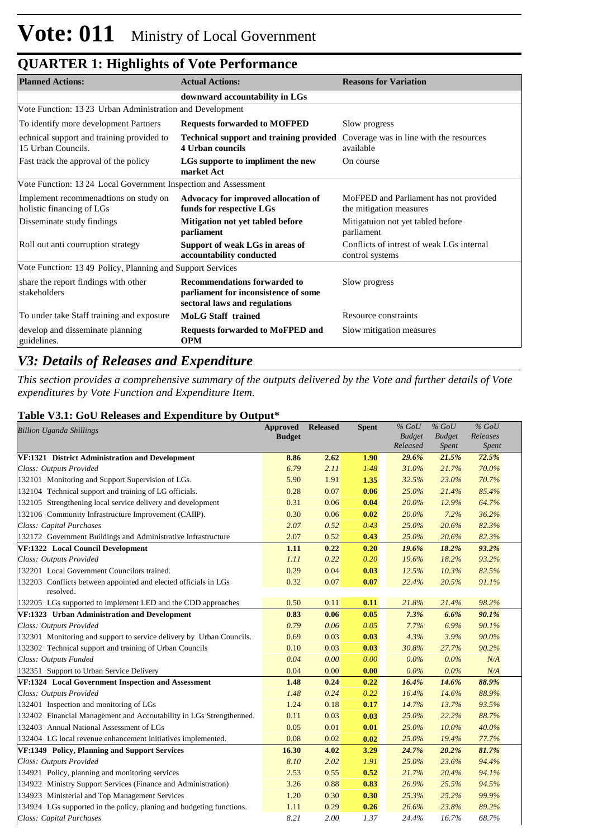| <b>Planned Actions:</b>                                            | <b>Actual Actions:</b>                                                                                       | <b>Reasons for Variation</b>                                      |  |  |  |  |  |  |  |
|--------------------------------------------------------------------|--------------------------------------------------------------------------------------------------------------|-------------------------------------------------------------------|--|--|--|--|--|--|--|
| downward accountability in LGs                                     |                                                                                                              |                                                                   |  |  |  |  |  |  |  |
| Vote Function: 13 23 Urban Administration and Development          |                                                                                                              |                                                                   |  |  |  |  |  |  |  |
| To identify more development Partners                              | <b>Requests forwarded to MOFPED</b>                                                                          | Slow progress                                                     |  |  |  |  |  |  |  |
| echnical support and training provided to<br>15 Urban Councils.    | <b>Technical support and training provided</b><br>4 Urban councils                                           | Coverage was in line with the resources<br>available              |  |  |  |  |  |  |  |
| Fast track the approval of the policy                              | LGs supporte to impliment the new<br>market Act                                                              | On course                                                         |  |  |  |  |  |  |  |
| Vote Function: 1324 Local Government Inspection and Assessment     |                                                                                                              |                                                                   |  |  |  |  |  |  |  |
| Implement recommenadtions on study on<br>holistic financing of LGs | Advocacy for improved allocation of<br>funds for respective LGs                                              | MoFPED and Parliament has not provided<br>the mitigation measures |  |  |  |  |  |  |  |
| Disseminate study findings                                         | Mitigation not yet tabled before<br>parliament                                                               | Mitigatuion not yet tabled before<br>parliament                   |  |  |  |  |  |  |  |
| Roll out anti courruption strategy                                 | Support of weak LGs in areas of<br>accountability conducted                                                  | Conflicts of intrest of weak LGs internal<br>control systems      |  |  |  |  |  |  |  |
| Vote Function: 1349 Policy, Planning and Support Services          |                                                                                                              |                                                                   |  |  |  |  |  |  |  |
| share the report findings with other<br>stakeholders               | <b>Recommendations forwarded to</b><br>parliament for inconsistence of some<br>sectoral laws and regulations | Slow progress                                                     |  |  |  |  |  |  |  |
| To under take Staff training and exposure                          | <b>MoLG</b> Staff trained                                                                                    | Resource constraints                                              |  |  |  |  |  |  |  |
| develop and disseminate planning<br>guidelines.                    | <b>Requests forwarded to MoFPED and</b><br><b>OPM</b>                                                        | Slow mitigation measures                                          |  |  |  |  |  |  |  |

## *V3: Details of Releases and Expenditure*

*This section provides a comprehensive summary of the outputs delivered by the Vote and further details of Vote expenditures by Vote Function and Expenditure Item.*

## **Table V3.1: GoU Releases and Expenditure by Output\***

| <b>Billion Uganda Shillings</b>                                              | <b>Approved</b><br><b>Budget</b> | <b>Released</b> | <b>Spent</b> | $%$ GoU<br><b>Budget</b> | $%$ GoU<br><b>Budget</b> | $%$ GoU<br>Releases |  |
|------------------------------------------------------------------------------|----------------------------------|-----------------|--------------|--------------------------|--------------------------|---------------------|--|
|                                                                              |                                  |                 |              | Released                 | Spent                    | Spent               |  |
| VF:1321 District Administration and Development                              | 8.86                             | 2.62            | 1.90         | 29.6%                    | 21.5%                    | 72.5%               |  |
| Class: Outputs Provided                                                      | 6.79                             | 2.11            | 1.48         | 31.0%                    | 21.7%                    | 70.0%               |  |
| 132101 Monitoring and Support Supervision of LGs.                            | 5.90                             | 1.91            | 1.35         | 32.5%                    | 23.0%                    | 70.7%               |  |
| 132104 Technical support and training of LG officials.                       | 0.28                             | 0.07            | 0.06         | 25.0%                    | 21.4%                    | 85.4%               |  |
| 132105 Strengthening local service delivery and development                  | 0.31                             | 0.06            | 0.04         | 20.0%                    | 12.9%                    | 64.7%               |  |
| 132106 Community Infrastructure Improvement (CAIIP).                         | 0.30                             | 0.06            | 0.02         | 20.0%                    | 7.2%                     | 36.2%               |  |
| Class: Capital Purchases                                                     | 2.07                             | 0.52            | 0.43         | 25.0%                    | 20.6%                    | 82.3%               |  |
| 132172 Government Buildings and Administrative Infrastructure                | 2.07                             | 0.52            | 0.43         | 25.0%                    | 20.6%                    | 82.3%               |  |
| VF:1322 Local Council Development                                            | 1.11                             | 0.22            | 0.20         | 19.6%                    | 18.2%                    | 93.2%               |  |
| Class: Outputs Provided                                                      | 1.11                             | 0.22            | 0.20         | 19.6%                    | 18.2%                    | 93.2%               |  |
| 132201 Local Government Councilors trained.                                  | 0.29                             | 0.04            | 0.03         | 12.5%                    | 10.3%                    | 82.5%               |  |
| 132203 Conflicts between appointed and elected officials in LGs<br>resolved. | 0.32                             | 0.07            | 0.07         | 22.4%                    | 20.5%                    | 91.1%               |  |
| 132205 LGs supported to implement LED and the CDD approaches                 | 0.50                             | 0.11            | 0.11         | 21.8%                    | 21.4%                    | 98.2%               |  |
| VF:1323 Urban Administration and Development                                 | 0.83                             | 0.06            | 0.05         | 7.3%                     | 6.6%                     | 90.1%               |  |
| Class: Outputs Provided                                                      | 0.79                             | 0.06            | 0.05         | 7.7%                     | 6.9%                     | 90.1%               |  |
| 132301 Monitoring and support to service delivery by Urban Councils.         | 0.69                             | 0.03            | 0.03         | 4.3%                     | 3.9%                     | 90.0%               |  |
| 132302 Technical support and training of Urban Councils                      | 0.10                             | 0.03            | 0.03         | 30.8%                    | 27.7%                    | 90.2%               |  |
| Class: Outputs Funded                                                        | 0.04                             | 0.00            | 0.00         | $0.0\%$                  | $0.0\%$                  | N/A                 |  |
| 132351 Support to Urban Service Delivery                                     | 0.04                             | 0.00            | 0.00         | 0.0%                     | 0.0%                     | N/A                 |  |
| VF:1324 Local Government Inspection and Assessment                           | 1.48                             | 0.24            | 0.22         | 16.4%                    | 14.6%                    | 88.9%               |  |
| Class: Outputs Provided                                                      | 1.48                             | 0.24            | 0.22         | 16.4%                    | 14.6%                    | 88.9%               |  |
| 132401 Inspection and monitoring of LGs                                      | 1.24                             | 0.18            | 0.17         | 14.7%                    | 13.7%                    | 93.5%               |  |
| 132402 Financial Management and Accoutability in LGs Strengthenned.          | 0.11                             | 0.03            | 0.03         | 25.0%                    | 22.2%                    | 88.7%               |  |
| 132403 Annual National Assessment of LGs                                     | 0.05                             | 0.01            | 0.01         | 25.0%                    | 10.0%                    | 40.0%               |  |
| 132404 LG local revenue enhancement initiatives implemented.                 | 0.08                             | 0.02            | 0.02         | 25.0%                    | 19.4%                    | 77.7%               |  |
| <b>VF:1349 Policy, Planning and Support Services</b>                         | 16.30                            | 4.02            | 3.29         | 24.7%                    | 20.2%                    | 81.7%               |  |
| Class: Outputs Provided                                                      | 8.10                             | 2.02            | 1.91         | 25.0%                    | 23.6%                    | 94.4%               |  |
| 134921 Policy, planning and monitoring services                              | 2.53                             | 0.55            | 0.52         | 21.7%                    | 20.4%                    | 94.1%               |  |
| 134922 Ministry Support Services (Finance and Administration)                | 3.26                             | 0.88            | 0.83         | 26.9%                    | 25.5%                    | 94.5%               |  |
| 134923 Ministerial and Top Management Services                               | 1.20                             | 0.30            | 0.30         | 25.3%                    | 25.2%                    | 99.9%               |  |
| 134924 LGs supported in the policy, planing and budgeting functions.         | 1.11                             | 0.29            | 0.26         | 26.6%                    | 23.8%                    | 89.2%               |  |
| Class: Capital Purchases                                                     | 8.21                             | 2.00            | 1.37         | 24.4%                    | 16.7%                    | 68.7%               |  |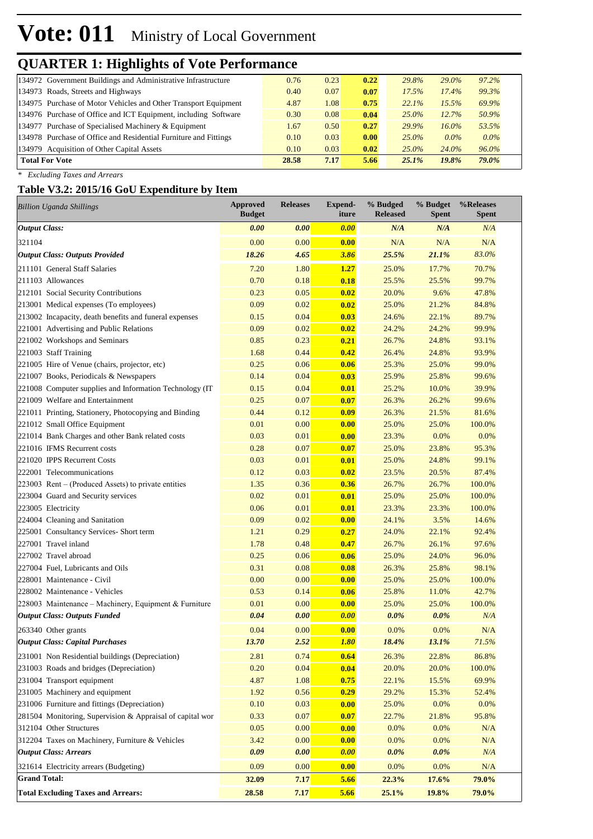# **Vote: 011** Ministry of Local Government

# **QUARTER 1: Highlights of Vote Performance**

| 134972 Government Buildings and Administrative Infrastructure    | 0.76  | 0.23 | 0.22 | 29.8%    | $29.0\%$ | 97.2%   |
|------------------------------------------------------------------|-------|------|------|----------|----------|---------|
| 134973 Roads, Streets and Highways                               | 0.40  | 0.07 | 0.07 | 17.5%    | 17.4%    | 99.3%   |
| 134975 Purchase of Motor Vehicles and Other Transport Equipment  | 4.87  | 1.08 | 0.75 | 22.1%    | 15.5%    | 69.9%   |
| 134976 Purchase of Office and ICT Equipment, including Software  | 0.30  | 0.08 | 0.04 | $25.0\%$ | 12.7%    | 50.9%   |
| 134977 Purchase of Specialised Machinery & Equipment             | 1.67  | 0.50 | 0.27 | 29.9%    | $16.0\%$ | 53.5%   |
| 134978 Purchase of Office and Residential Furniture and Fittings | 0.10  | 0.03 | 0.00 | $25.0\%$ | $0.0\%$  | $0.0\%$ |
| 134979 Acquisition of Other Capital Assets                       | 0.10  | 0.03 | 0.02 | $25.0\%$ | 24.0%    | 96.0%   |
| <b>Total For Vote</b>                                            | 28.58 | 7.17 | 5.66 | $25.1\%$ | 19.8%    | 79.0%   |

*\* Excluding Taxes and Arrears*

## **Table V3.2: 2015/16 GoU Expenditure by Item**

| <b>Billion Uganda Shillings</b>                           | <b>Approved</b><br><b>Budget</b> | <b>Releases</b> | Expend-<br>iture | % Budged<br><b>Released</b> | % Budget<br>Spent | %Releases<br>Spent |
|-----------------------------------------------------------|----------------------------------|-----------------|------------------|-----------------------------|-------------------|--------------------|
| <b>Output Class:</b>                                      | 0.00                             | 0.00            | 0.00             | N/A                         | N/A               | N/A                |
| 321104                                                    | 0.00                             | 0.00            | 0.00             | N/A                         | N/A               | N/A                |
| <b>Output Class: Outputs Provided</b>                     | 18.26                            | 4.65            | 3.86             | 25.5%                       | 21.1%             | 83.0%              |
| 211101 General Staff Salaries                             | 7.20                             | 1.80            | 1.27             | 25.0%                       | 17.7%             | 70.7%              |
| 211103 Allowances                                         | 0.70                             | 0.18            | 0.18             | 25.5%                       | 25.5%             | 99.7%              |
| 212101 Social Security Contributions                      | 0.23                             | 0.05            | 0.02             | 20.0%                       | 9.6%              | 47.8%              |
| 213001 Medical expenses (To employees)                    | 0.09                             | 0.02            | 0.02             | 25.0%                       | 21.2%             | 84.8%              |
| 213002 Incapacity, death benefits and funeral expenses    | 0.15                             | 0.04            | 0.03             | 24.6%                       | 22.1%             | 89.7%              |
| 221001 Advertising and Public Relations                   | 0.09                             | 0.02            | 0.02             | 24.2%                       | 24.2%             | 99.9%              |
| 221002 Workshops and Seminars                             | 0.85                             | 0.23            | 0.21             | 26.7%                       | 24.8%             | 93.1%              |
| 221003 Staff Training                                     | 1.68                             | 0.44            | 0.42             | 26.4%                       | 24.8%             | 93.9%              |
| 221005 Hire of Venue (chairs, projector, etc)             | 0.25                             | 0.06            | 0.06             | 25.3%                       | 25.0%             | 99.0%              |
| 221007 Books, Periodicals & Newspapers                    | 0.14                             | 0.04            | 0.03             | 25.9%                       | 25.8%             | 99.6%              |
| 221008 Computer supplies and Information Technology (IT   | 0.15                             | 0.04            | 0.01             | 25.2%                       | 10.0%             | 39.9%              |
| 221009 Welfare and Entertainment                          | 0.25                             | 0.07            | 0.07             | 26.3%                       | 26.2%             | 99.6%              |
| 221011 Printing, Stationery, Photocopying and Binding     | 0.44                             | 0.12            | 0.09             | 26.3%                       | 21.5%             | 81.6%              |
| 221012 Small Office Equipment                             | 0.01                             | 0.00            | 0.00             | 25.0%                       | 25.0%             | 100.0%             |
| 221014 Bank Charges and other Bank related costs          | 0.03                             | 0.01            | 0.00             | 23.3%                       | 0.0%              | 0.0%               |
| 221016 IFMS Recurrent costs                               | 0.28                             | 0.07            | 0.07             | 25.0%                       | 23.8%             | 95.3%              |
| 221020 IPPS Recurrent Costs                               | 0.03                             | 0.01            | 0.01             | 25.0%                       | 24.8%             | 99.1%              |
| 222001 Telecommunications                                 | 0.12                             | 0.03            | 0.02             | 23.5%                       | 20.5%             | 87.4%              |
| 223003 Rent – (Produced Assets) to private entities       | 1.35                             | 0.36            | 0.36             | 26.7%                       | 26.7%             | 100.0%             |
| 223004 Guard and Security services                        | 0.02                             | 0.01            | 0.01             | 25.0%                       | 25.0%             | 100.0%             |
| 223005 Electricity                                        | 0.06                             | 0.01            | 0.01             | 23.3%                       | 23.3%             | 100.0%             |
| 224004 Cleaning and Sanitation                            | 0.09                             | 0.02            | 0.00             | 24.1%                       | 3.5%              | 14.6%              |
| 225001 Consultancy Services- Short term                   | 1.21                             | 0.29            | 0.27             | 24.0%                       | 22.1%             | 92.4%              |
| 227001 Travel inland                                      | 1.78                             | 0.48            | 0.47             | 26.7%                       | 26.1%             | 97.6%              |
| 227002 Travel abroad                                      | 0.25                             | 0.06            | 0.06             | 25.0%                       | 24.0%             | 96.0%              |
| 227004 Fuel, Lubricants and Oils                          | 0.31                             | 0.08            | 0.08             | 26.3%                       | 25.8%             | 98.1%              |
| 228001 Maintenance - Civil                                | 0.00                             | 0.00            | 0.00             | 25.0%                       | 25.0%             | 100.0%             |
| 228002 Maintenance - Vehicles                             | 0.53                             | 0.14            | 0.06             | 25.8%                       | 11.0%             | 42.7%              |
| 228003 Maintenance – Machinery, Equipment & Furniture     | 0.01                             | 0.00            | 0.00             | 25.0%                       | 25.0%             | 100.0%             |
| <b>Output Class: Outputs Funded</b>                       | 0.04                             | 0.00            | 0.00             | $0.0\%$                     | $0.0\%$           | N/A                |
| 263340 Other grants                                       | 0.04                             | 0.00            | 0.00             | 0.0%                        | 0.0%              | N/A                |
| <b>Output Class: Capital Purchases</b>                    | 13.70                            | 2.52            | <u>1.80</u>      | 18.4%                       | 13.1%             | 71.5%              |
| 231001 Non Residential buildings (Depreciation)           | 2.81                             | 0.74            | 0.64             | 26.3%                       | 22.8%             | 86.8%              |
| 231003 Roads and bridges (Depreciation)                   | 0.20                             | 0.04            | 0.04             | 20.0%                       | 20.0%             | 100.0%             |
| 231004 Transport equipment                                | 4.87                             | 1.08            | 0.75             | 22.1%                       | 15.5%             | 69.9%              |
| 231005 Machinery and equipment                            | 1.92                             | 0.56            | 0.29             | 29.2%                       | 15.3%             | 52.4%              |
| 231006 Furniture and fittings (Depreciation)              | 0.10                             | 0.03            | 0.00             | 25.0%                       | 0.0%              | 0.0%               |
| 281504 Monitoring, Supervision & Appraisal of capital wor | 0.33                             | 0.07            | 0.07             | 22.7%                       | 21.8%             | 95.8%              |
| 312104 Other Structures                                   | 0.05                             | 0.00            | 0.00             | 0.0%                        | 0.0%              | N/A                |
| 312204 Taxes on Machinery, Furniture & Vehicles           | 3.42                             | $0.00\,$        | 0.00             | 0.0%                        | 0.0%              | N/A                |
| <b>Output Class: Arrears</b>                              | 0.09                             | 0.00            | 0.00             | $0.0\%$                     | $0.0\%$           | N/A                |
| 321614 Electricity arrears (Budgeting)                    | 0.09                             | 0.00            | 0.00             | 0.0%                        | 0.0%              | N/A                |
| <b>Grand Total:</b>                                       | 32.09                            | 7.17            | 5.66             | 22.3%                       | 17.6%             | 79.0%              |
| <b>Total Excluding Taxes and Arrears:</b>                 | 28.58                            | 7.17            | 5.66             | 25.1%                       | 19.8%             | 79.0%              |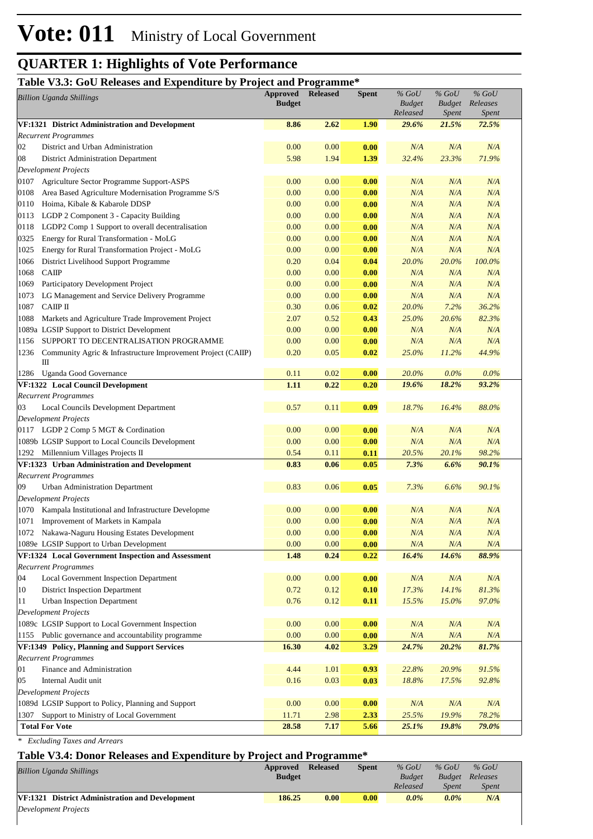## **Table V3.3: GoU Releases and Expenditure by Project and Programme\***

| Tuble 10101 Good Reference und Ex-<br>$_{\rm{v}}$ , $_{\rm{u}}$<br><b>Billion Uganda Shillings</b> |                                                                   | 110 ccc and 110 gramme<br><b>Approved</b> Released<br><b>Budget</b> |      | <b>Spent</b> | $%$ GoU<br><b>Budget</b><br>Released | $%$ GoU<br><b>Budget</b><br><i>Spent</i> | $%$ GoU<br>Releases<br><i>Spent</i> |  |
|----------------------------------------------------------------------------------------------------|-------------------------------------------------------------------|---------------------------------------------------------------------|------|--------------|--------------------------------------|------------------------------------------|-------------------------------------|--|
| VF:1321 District Administration and Development                                                    |                                                                   | 8.86                                                                | 2.62 | 1.90         | 29.6%                                | 21.5%                                    | 72.5%                               |  |
|                                                                                                    | <b>Recurrent Programmes</b>                                       |                                                                     |      |              |                                      |                                          |                                     |  |
| 02                                                                                                 | District and Urban Administration                                 | 0.00                                                                | 0.00 | 0.00         | N/A                                  | N/A                                      | N/A                                 |  |
| 08                                                                                                 | District Administration Department                                | 5.98                                                                | 1.94 | 1.39         | 32.4%                                | 23.3%                                    | 71.9%                               |  |
| <b>Development Projects</b>                                                                        |                                                                   |                                                                     |      |              |                                      |                                          |                                     |  |
| 0107                                                                                               | Agriculture Sector Programme Support-ASPS                         | 0.00                                                                | 0.00 | 0.00         | N/A                                  | N/A                                      | N/A                                 |  |
| 0108                                                                                               | Area Based Agriculture Modernisation Programme S/S                | 0.00                                                                | 0.00 | 0.00         | N/A                                  | N/A                                      | N/A                                 |  |
| 0110                                                                                               | Hoima, Kibale & Kabarole DDSP                                     | 0.00                                                                | 0.00 | 0.00         | N/A                                  | N/A                                      | N/A                                 |  |
| 0113                                                                                               | LGDP 2 Component 3 - Capacity Building                            | 0.00                                                                | 0.00 | 0.00         | N/A                                  | N/A                                      | N/A                                 |  |
| 0118                                                                                               | LGDP2 Comp 1 Support to overall decentralisation                  | 0.00                                                                | 0.00 | 0.00         | N/A                                  | N/A                                      | N/A                                 |  |
| 0325                                                                                               | Energy for Rural Transformation - MoLG                            | 0.00                                                                | 0.00 | 0.00         | N/A                                  | N/A                                      | N/A                                 |  |
| 1025                                                                                               | Energy for Rural Transformation Project - MoLG                    | 0.00                                                                | 0.00 | 0.00         | N/A                                  | N/A                                      | N/A                                 |  |
| 1066                                                                                               | District Livelihood Support Programme                             | 0.20                                                                | 0.04 | 0.04         | 20.0%                                | 20.0%                                    | 100.0%                              |  |
| 1068                                                                                               | <b>CAIIP</b>                                                      | 0.00                                                                | 0.00 | 0.00         | N/A                                  | N/A                                      | N/A                                 |  |
| 1069                                                                                               | Participatory Development Project                                 | 0.00                                                                | 0.00 | 0.00         | N/A                                  | N/A                                      | N/A                                 |  |
| 1073                                                                                               | LG Management and Service Delivery Programme                      | 0.00                                                                | 0.00 | 0.00         | N/A                                  | N/A                                      | N/A                                 |  |
| 1087                                                                                               | САШР II                                                           | 0.30                                                                | 0.06 | 0.02         | 20.0%                                | 7.2%                                     | 36.2%                               |  |
| 1088                                                                                               | Markets and Agriculture Trade Improvement Project                 | 2.07                                                                | 0.52 | 0.43         | 25.0%                                | 20.6%                                    | 82.3%                               |  |
|                                                                                                    | 1089a LGSIP Support to District Development                       | 0.00                                                                | 0.00 | 0.00         | N/A                                  | N/A                                      | N/A                                 |  |
| 1156                                                                                               | SUPPORT TO DECENTRALISATION PROGRAMME                             | 0.00                                                                | 0.00 | 0.00         | N/A                                  | N/A                                      | N/A                                 |  |
| 1236                                                                                               | Community Agric & Infrastructure Improvement Project (CAIIP)<br>Ш | 0.20                                                                | 0.05 | 0.02         | 25.0%                                | 11.2%                                    | 44.9%                               |  |
|                                                                                                    | 1286 Uganda Good Governance                                       | 0.11                                                                | 0.02 | 0.00         | 20.0%                                | $0.0\%$                                  | $0.0\%$                             |  |
|                                                                                                    | <b>VF:1322 Local Council Development</b>                          | 1.11                                                                | 0.22 | 0.20         | 19.6%                                | 18.2%                                    | 93.2%                               |  |
|                                                                                                    | <b>Recurrent Programmes</b>                                       |                                                                     |      |              |                                      |                                          |                                     |  |
| 03                                                                                                 | Local Councils Development Department                             | 0.57                                                                | 0.11 | 0.09         | 18.7%                                | 16.4%                                    | 88.0%                               |  |
|                                                                                                    | <b>Development Projects</b>                                       |                                                                     |      |              |                                      |                                          |                                     |  |
|                                                                                                    | 0117 LGDP 2 Comp 5 MGT & Cordination                              | 0.00                                                                | 0.00 | 0.00         | N/A                                  | N/A                                      | N/A                                 |  |
|                                                                                                    | 1089b LGSIP Support to Local Councils Development                 | 0.00                                                                | 0.00 | 0.00         | N/A                                  | N/A                                      | N/A                                 |  |
|                                                                                                    | 1292 Millennium Villages Projects II                              | 0.54                                                                | 0.11 | 0.11         | 20.5%                                | 20.1%                                    | 98.2%                               |  |
|                                                                                                    | VF:1323 Urban Administration and Development                      | 0.83                                                                | 0.06 | 0.05         | 7.3%                                 | 6.6%                                     | 90.1%                               |  |
|                                                                                                    | <b>Recurrent Programmes</b>                                       |                                                                     |      |              |                                      |                                          |                                     |  |
| 09                                                                                                 | Urban Administration Department<br><b>Development Projects</b>    | 0.83                                                                | 0.06 | 0.05         | 7.3%                                 | 6.6%                                     | 90.1%                               |  |
|                                                                                                    | 1070 Kampala Institutional and Infrastructure Developme           | 0.00                                                                | 0.00 | 0.00         | N/A                                  | N/A                                      | N/A                                 |  |
|                                                                                                    | 1071 Improvement of Markets in Kampala                            | 0.00                                                                | 0.00 | 0.00         | N/A                                  | N/A                                      | N/A                                 |  |
|                                                                                                    | 1072 Nakawa-Naguru Housing Estates Development                    | 0.00                                                                | 0.00 | 0.00         | N/A                                  | N/A                                      | N/A                                 |  |
|                                                                                                    | 1089e LGSIP Support to Urban Development                          | 0.00                                                                | 0.00 | 0.00         | N/A                                  | N/A                                      | N/A                                 |  |
|                                                                                                    | VF:1324 Local Government Inspection and Assessment                | 1.48                                                                | 0.24 | 0.22         | 16.4%                                | 14.6%                                    | 88.9%                               |  |
|                                                                                                    | <b>Recurrent Programmes</b>                                       |                                                                     |      |              |                                      |                                          |                                     |  |
| 04                                                                                                 | Local Government Inspection Department                            | 0.00                                                                | 0.00 | 0.00         | N/A                                  | N/A                                      | $N\!/\!A$                           |  |
| 10                                                                                                 | District Inspection Department                                    | 0.72                                                                | 0.12 | 0.10         | 17.3%                                | 14.1%                                    | 81.3%                               |  |
| 11                                                                                                 | Urban Inspection Department                                       | 0.76                                                                | 0.12 | 0.11         | 15.5%                                | 15.0%                                    | 97.0%                               |  |
|                                                                                                    | <b>Development Projects</b>                                       |                                                                     |      |              |                                      |                                          |                                     |  |
|                                                                                                    | 1089c LGSIP Support to Local Government Inspection                | 0.00                                                                | 0.00 | 0.00         | N/A                                  | N/A                                      | N/A                                 |  |
|                                                                                                    | 1155 Public governance and accountability programme               | 0.00                                                                | 0.00 | 0.00         | $N\!/\!A$                            | N/A                                      | $N\!/\!A$                           |  |
|                                                                                                    | VF:1349 Policy, Planning and Support Services                     | 16.30                                                               | 4.02 | 3.29         | 24.7%                                | 20.2%                                    | 81.7%                               |  |
|                                                                                                    | <b>Recurrent Programmes</b>                                       |                                                                     |      |              |                                      |                                          |                                     |  |
| 01                                                                                                 | Finance and Administration                                        | 4.44                                                                | 1.01 | 0.93         | 22.8%                                | 20.9%                                    | 91.5%                               |  |
| 05                                                                                                 | Internal Audit unit                                               | 0.16                                                                | 0.03 | 0.03         | 18.8%                                | 17.5%                                    | 92.8%                               |  |
|                                                                                                    | Development Projects                                              |                                                                     |      |              |                                      |                                          |                                     |  |
|                                                                                                    | 1089d LGSIP Support to Policy, Planning and Support               | 0.00                                                                | 0.00 | 0.00         | N/A                                  | N/A                                      | $N\!/\!A$                           |  |
| 1307                                                                                               | Support to Ministry of Local Government                           | 11.71                                                               | 2.98 | 2.33         | 25.5%                                | 19.9%                                    | 78.2%                               |  |
|                                                                                                    | <b>Total For Vote</b>                                             | 28.58                                                               | 7.17 | 5.66         | 25.1%                                | 19.8%                                    | 79.0%                               |  |

*\* Excluding Taxes and Arrears*

| Table V3.4: Donor Releases and Expenditure by Project and Programme* |                           |                 |              |                          |                          |                     |  |  |  |
|----------------------------------------------------------------------|---------------------------|-----------------|--------------|--------------------------|--------------------------|---------------------|--|--|--|
| <b>Billion Uganda Shillings</b>                                      | Approved<br><b>Budget</b> | <b>Released</b> | <b>Spent</b> | $%$ GoU<br><b>Budget</b> | $%$ GoU<br><b>Budget</b> | $%$ GoU<br>Releases |  |  |  |
|                                                                      |                           |                 |              | Released                 | <i>Spent</i>             | <i>Spent</i>        |  |  |  |
| VF:1321 District Administration and Development                      | 186.25                    | 0.00            | 0.00         | $0.0\%$                  | $0.0\%$                  | N/A                 |  |  |  |
| Development Projects                                                 |                           |                 |              |                          |                          |                     |  |  |  |
|                                                                      |                           |                 |              |                          |                          |                     |  |  |  |